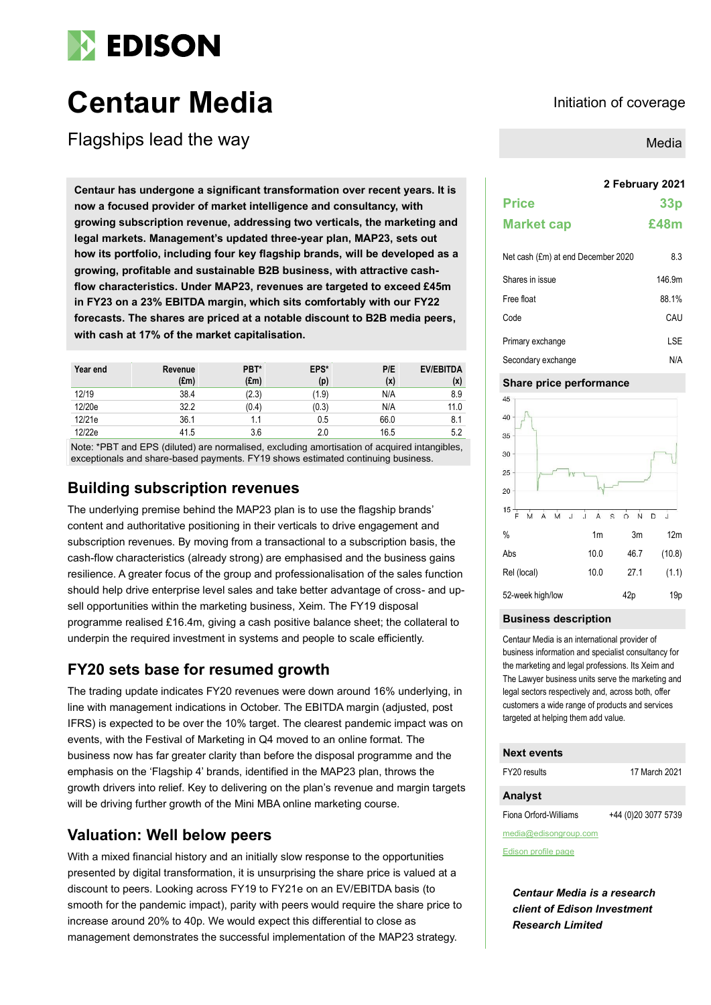

# **Centaur Media Initiation of coverage**

Flagships lead the way

**2 February 2021 Centaur has undergone a significant transformation over recent years. It is now a focused provider of market intelligence and consultancy, with growing subscription revenue, addressing two verticals, the marketing and legal markets. Management's updated three-year plan, MAP23, sets out how its portfolio, including four key flagship brands, will be developed as a growing, profitable and sustainable B2B business, with attractive cashflow characteristics. Under MAP23, revenues are targeted to exceed £45m in FY23 on a 23% EBITDA margin, which sits comfortably with our FY22 forecasts. The shares are priced at a notable discount to B2B media peers, with cash at 17% of the market capitalisation.**

| Year end | Revenue<br>$(\text{Em})$ | PBT*<br>(f.m) | EPS*<br>(p) | P/E<br>(x) | <b>EV/EBITDA</b><br>(x) |
|----------|--------------------------|---------------|-------------|------------|-------------------------|
| 12/19    | 38.4                     | (2.3)         | (1.9)       | N/A        | 8.9                     |
| 12/20e   | 32.2                     | (0.4)         | (0.3)       | N/A        | 11.0                    |
| 12/21e   | 36.1                     |               | 0.5         | 66.0       | 8.1                     |
| 12/22e   | 41.5                     | 3.6           | 2.0         | 16.5       | 5.2                     |

Note: \*PBT and EPS (diluted) are normalised, excluding amortisation of acquired intangibles, exceptionals and share-based payments. FY19 shows estimated continuing business.

# **Building subscription revenues**

The underlying premise behind the MAP23 plan is to use the flagship brands' content and authoritative positioning in their verticals to drive engagement and subscription revenues. By moving from a transactional to a subscription basis, the cash-flow characteristics (already strong) are emphasised and the business gains resilience. A greater focus of the group and professionalisation of the sales function should help drive enterprise level sales and take better advantage of cross- and upsell opportunities within the marketing business, Xeim. The FY19 disposal programme realised £16.4m, giving a cash positive balance sheet; the collateral to underpin the required investment in systems and people to scale efficiently.

# **FY20 sets base for resumed growth**

The trading update indicates FY20 revenues were down around 16% underlying, in line with management indications in October. The EBITDA margin (adjusted, post IFRS) is expected to be over the 10% target. The clearest pandemic impact was on events, with the Festival of Marketing in Q4 moved to an online format. The business now has far greater clarity than before the disposal programme and the emphasis on the 'Flagship 4' brands, identified in the MAP23 plan, throws the growth drivers into relief. Key to delivering on the plan's revenue and margin targets will be driving further growth of the Mini MBA online marketing course.

# **Valuation: Well below peers**

With a mixed financial history and an initially slow response to the opportunities presented by digital transformation, it is unsurprising the share price is valued at a discount to peers. Looking across FY19 to FY21e on an EV/EBITDA basis (to smooth for the pandemic impact), parity with peers would require the share price to increase around 20% to 40p. We would expect this differential to close as management demonstrates the successful implementation of the MAP23 strategy.

Media

# **Price 33p Market cap £48m**

| Net cash (£m) at end December 2020 | 8.3    |
|------------------------------------|--------|
| Shares in issue                    | 146.9m |
| Free float                         | 88.1%  |
| Code                               | CAU    |
| Primary exchange                   | I SF   |
| Secondary exchange                 | N/A    |

#### **Share price performance**



#### **Business description**

Centaur Media is an international provider of business information and specialist consultancy for the marketing and legal professions. Its Xeim and The Lawyer business units serve the marketing and legal sectors respectively and, across both, offer customers a wide range of products and services targeted at helping them add value.

#### **Next events**

| FY20 results          | 17 March 2021       |
|-----------------------|---------------------|
| <b>Analyst</b>        |                     |
| Fiona Orford-Williams | +44 (0)20 3077 5739 |
| media@edisongroup.com |                     |

[Edison profile page](https://www.edisongroup.com/company/centaur-media)

*Centaur Media is a research client of Edison Investment Research Limited*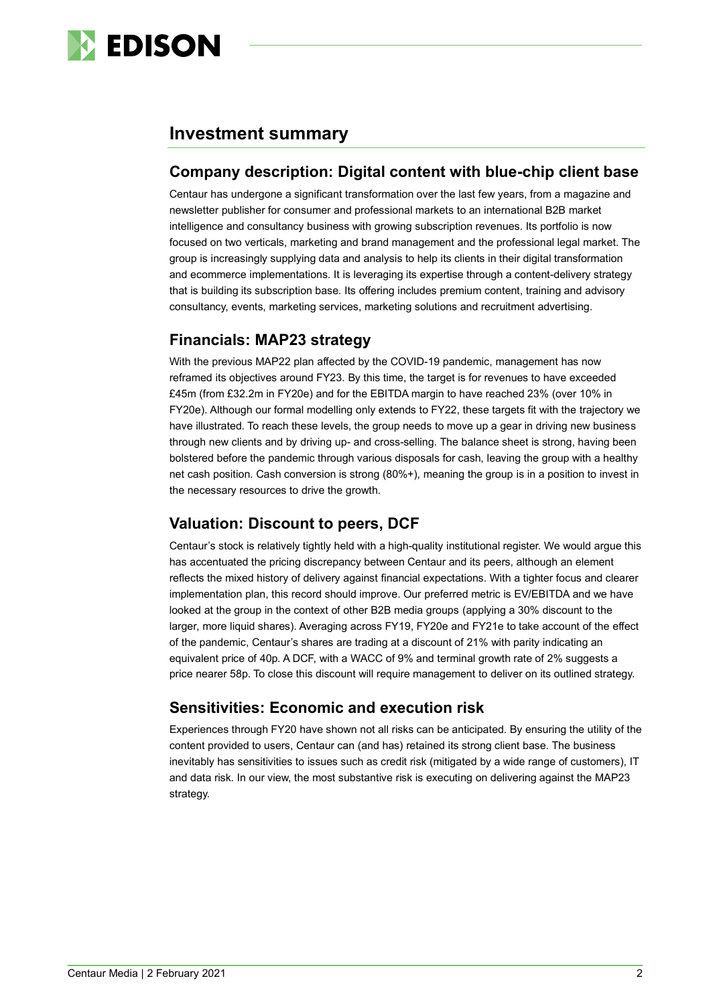

# **Investment summary**

#### **Company description: Digital content with blue-chip client base**

Centaur has undergone a significant transformation over the last few years, from a magazine and newsletter publisher for consumer and professional markets to an international B2B market intelligence and consultancy business with growing subscription revenues. Its portfolio is now focused on two verticals, marketing and brand management and the professional legal market. The group is increasingly supplying data and analysis to help its clients in their digital transformation and ecommerce implementations. It is leveraging its expertise through a content-delivery strategy that is building its subscription base. Its offering includes premium content, training and advisory consultancy, events, marketing services, marketing solutions and recruitment advertising.

# **Financials: MAP23 strategy**

With the previous MAP22 plan affected by the COVID-19 pandemic, management has now reframed its objectives around FY23. By this time, the target is for revenues to have exceeded £45m (from £32.2m in FY20e) and for the EBITDA margin to have reached 23% (over 10% in FY20e). Although our formal modelling only extends to FY22, these targets fit with the trajectory we have illustrated. To reach these levels, the group needs to move up a gear in driving new business through new clients and by driving up- and cross-selling. The balance sheet is strong, having been bolstered before the pandemic through various disposals for cash, leaving the group with a healthy net cash position. Cash conversion is strong (80%+), meaning the group is in a position to invest in the necessary resources to drive the growth.

# **Valuation: Discount to peers, DCF**

Centaur's stock is relatively tightly held with a high-quality institutional register. We would argue this has accentuated the pricing discrepancy between Centaur and its peers, although an element reflects the mixed history of delivery against financial expectations. With a tighter focus and clearer implementation plan, this record should improve. Our preferred metric is EV/EBITDA and we have looked at the group in the context of other B2B media groups (applying a 30% discount to the larger, more liquid shares). Averaging across FY19, FY20e and FY21e to take account of the effect of the pandemic, Centaur's shares are trading at a discount of 21% with parity indicating an equivalent price of 40p. A DCF, with a WACC of 9% and terminal growth rate of 2% suggests a price nearer 58p. To close this discount will require management to deliver on its outlined strategy.

# **Sensitivities: Economic and execution risk**

Experiences through FY20 have shown not all risks can be anticipated. By ensuring the utility of the content provided to users, Centaur can (and has) retained its strong client base. The business inevitably has sensitivities to issues such as credit risk (mitigated by a wide range of customers), IT and data risk. In our view, the most substantive risk is executing on delivering against the MAP23 strategy.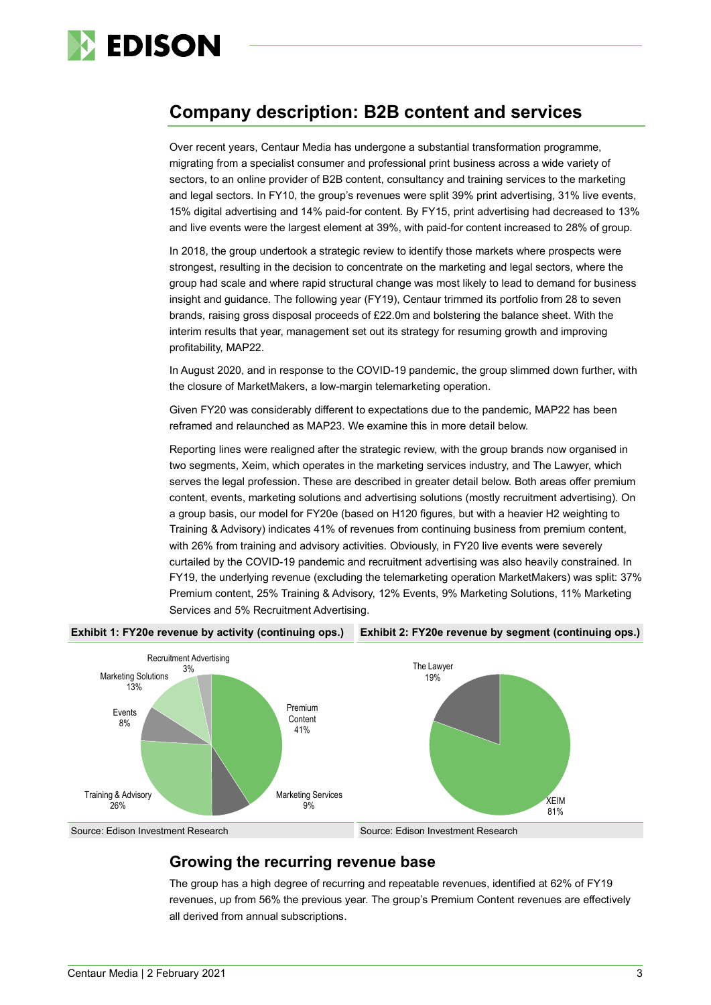

# **Company description: B2B content and services**

Over recent years, Centaur Media has undergone a substantial transformation programme, migrating from a specialist consumer and professional print business across a wide variety of sectors, to an online provider of B2B content, consultancy and training services to the marketing and legal sectors. In FY10, the group's revenues were split 39% print advertising, 31% live events, 15% digital advertising and 14% paid-for content. By FY15, print advertising had decreased to 13% and live events were the largest element at 39%, with paid-for content increased to 28% of group.

In 2018, the group undertook a strategic review to identify those markets where prospects were strongest, resulting in the decision to concentrate on the marketing and legal sectors, where the group had scale and where rapid structural change was most likely to lead to demand for business insight and guidance. The following year (FY19), Centaur trimmed its portfolio from 28 to seven brands, raising gross disposal proceeds of £22.0m and bolstering the balance sheet. With the interim results that year, management set out its strategy for resuming growth and improving profitability, MAP22.

In August 2020, and in response to the COVID-19 pandemic, the group slimmed down further, with the closure of MarketMakers, a low-margin telemarketing operation.

Given FY20 was considerably different to expectations due to the pandemic, MAP22 has been reframed and relaunched as MAP23. We examine this in more detail below.

Reporting lines were realigned after the strategic review, with the group brands now organised in two segments, Xeim, which operates in the marketing services industry, and The Lawyer, which serves the legal profession. These are described in greater detail below. Both areas offer premium content, events, marketing solutions and advertising solutions (mostly recruitment advertising). On a group basis, our model for FY20e (based on H120 figures, but with a heavier H2 weighting to Training & Advisory) indicates 41% of revenues from continuing business from premium content, with 26% from training and advisory activities. Obviously, in FY20 live events were severely curtailed by the COVID-19 pandemic and recruitment advertising was also heavily constrained. In FY19, the underlying revenue (excluding the telemarketing operation MarketMakers) was split: 37% Premium content, 25% Training & Advisory, 12% Events, 9% Marketing Solutions, 11% Marketing Services and 5% Recruitment Advertising.



**Growing the recurring revenue base**

The group has a high degree of recurring and repeatable revenues, identified at 62% of FY19 revenues, up from 56% the previous year. The group's Premium Content revenues are effectively all derived from annual subscriptions.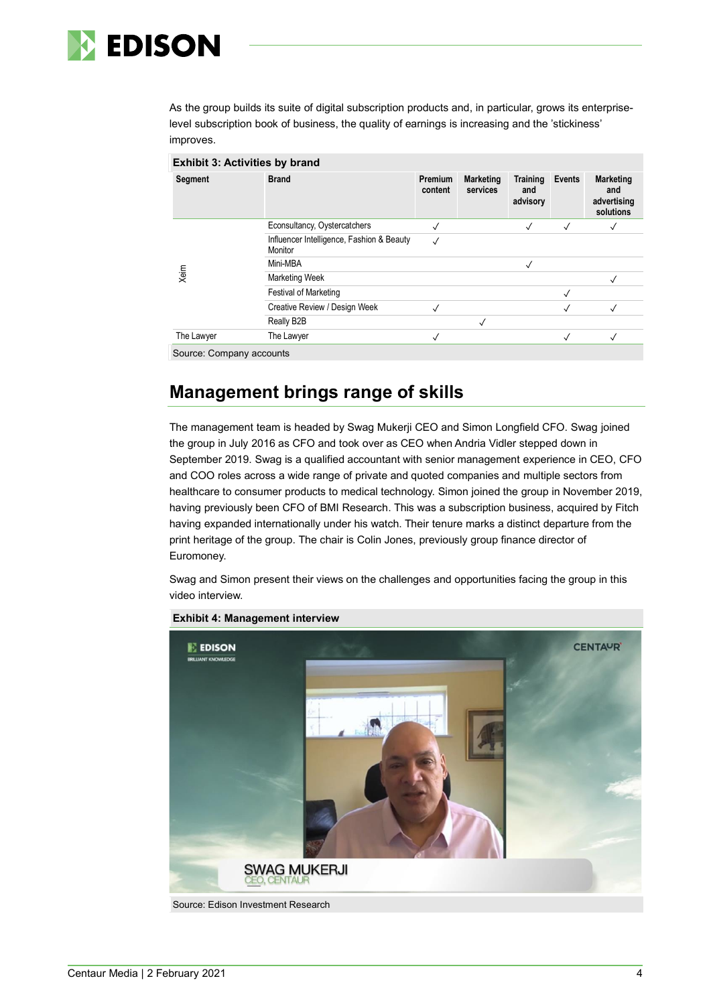

As the group builds its suite of digital subscription products and, in particular, grows its enterpriselevel subscription book of business, the quality of earnings is increasing and the 'stickiness' improves.

| Segment    | <b>Brand</b>                                         | <b>Premium</b><br>content | <b>Marketing</b><br>services | <b>Training</b><br>and<br>advisory | Events       | <b>Marketing</b><br>and<br>advertising<br>solutions |
|------------|------------------------------------------------------|---------------------------|------------------------------|------------------------------------|--------------|-----------------------------------------------------|
|            | Econsultancy, Oystercatchers                         | √                         |                              | $\checkmark$                       | $\checkmark$ | √                                                   |
|            | Influencer Intelligence, Fashion & Beauty<br>Monitor | $\checkmark$              |                              |                                    |              |                                                     |
|            | Mini-MBA                                             |                           |                              | $\checkmark$                       |              |                                                     |
| Xeim       | <b>Marketing Week</b>                                |                           |                              |                                    |              | $\checkmark$                                        |
|            | Festival of Marketing                                |                           |                              |                                    | $\checkmark$ |                                                     |
|            | Creative Review / Design Week                        | $\checkmark$              |                              |                                    | $\checkmark$ | √                                                   |
|            | Really B2B                                           |                           | $\checkmark$                 |                                    |              |                                                     |
| The Lawyer | The Lawyer                                           | $\checkmark$              |                              |                                    | $\checkmark$ | $\checkmark$                                        |

# **Management brings range of skills**

The management team is headed by Swag Mukerji CEO and Simon Longfield CFO. Swag joined the group in July 2016 as CFO and took over as CEO when Andria Vidler stepped down in September 2019. Swag is a qualified accountant with senior management experience in CEO, CFO and COO roles across a wide range of private and quoted companies and multiple sectors from healthcare to consumer products to medical technology. Simon joined the group in November 2019, having previously been CFO of BMI Research. This was a subscription business, acquired by Fitch having expanded internationally under his watch. Their tenure marks a distinct departure from the print heritage of the group. The chair is Colin Jones, previously group finance director of Euromoney.

Swag and Simon present their views on the challenges and opportunities facing the group in this video interview.



**Exhibit 4: Management interview**

Source: Edison Investment Research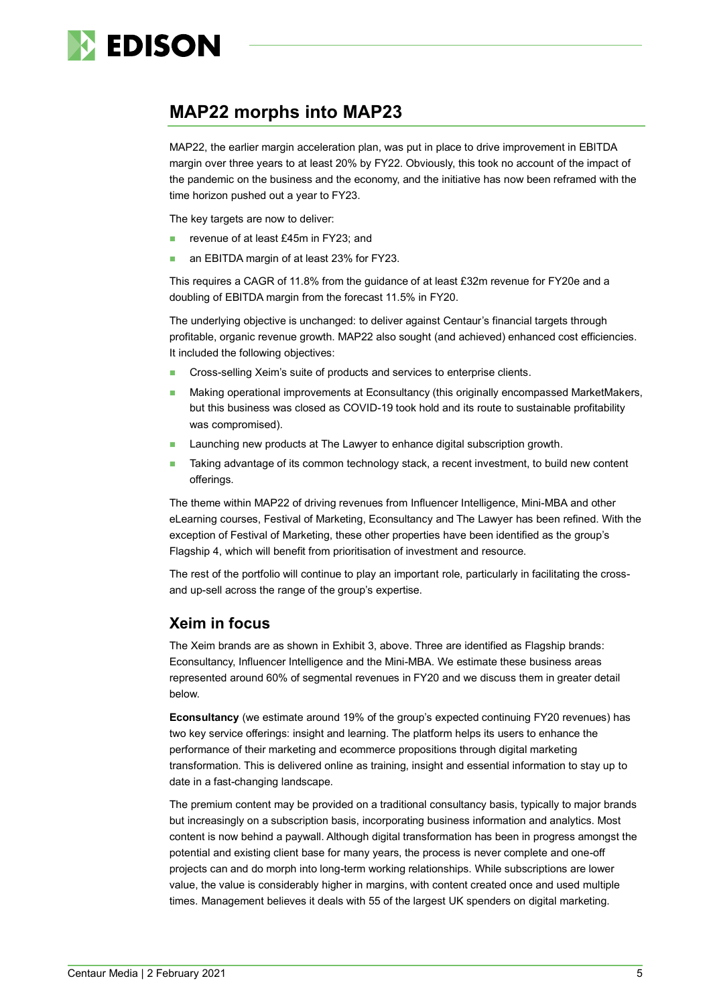

# **MAP22 morphs into MAP23**

MAP22, the earlier margin acceleration plan, was put in place to drive improvement in EBITDA margin over three years to at least 20% by FY22. Obviously, this took no account of the impact of the pandemic on the business and the economy, and the initiative has now been reframed with the time horizon pushed out a year to FY23.

The key targets are now to deliver:

- revenue of at least £45m in FY23; and
- an EBITDA margin of at least 23% for FY23.

This requires a CAGR of 11.8% from the guidance of at least £32m revenue for FY20e and a doubling of EBITDA margin from the forecast 11.5% in FY20.

The underlying objective is unchanged: to deliver against Centaur's financial targets through profitable, organic revenue growth. MAP22 also sought (and achieved) enhanced cost efficiencies. It included the following objectives:

- Cross-selling Xeim's suite of products and services to enterprise clients.
- Making operational improvements at Econsultancy (this originally encompassed MarketMakers, but this business was closed as COVID-19 took hold and its route to sustainable profitability was compromised).
- Launching new products at The Lawyer to enhance digital subscription growth.
- Taking advantage of its common technology stack, a recent investment, to build new content offerings.

The theme within MAP22 of driving revenues from Influencer Intelligence, Mini-MBA and other eLearning courses, Festival of Marketing, Econsultancy and The Lawyer has been refined. With the exception of Festival of Marketing, these other properties have been identified as the group's Flagship 4, which will benefit from prioritisation of investment and resource.

The rest of the portfolio will continue to play an important role, particularly in facilitating the crossand up-sell across the range of the group's expertise.

#### **Xeim in focus**

The Xeim brands are as shown in Exhibit 3, above. Three are identified as Flagship brands: Econsultancy, Influencer Intelligence and the Mini-MBA. We estimate these business areas represented around 60% of segmental revenues in FY20 and we discuss them in greater detail below.

**Econsultancy** (we estimate around 19% of the group's expected continuing FY20 revenues) has two key service offerings: insight and learning. The platform helps its users to enhance the performance of their marketing and ecommerce propositions through digital marketing transformation. This is delivered online as training, insight and essential information to stay up to date in a fast-changing landscape.

The premium content may be provided on a traditional consultancy basis, typically to major brands but increasingly on a subscription basis, incorporating business information and analytics. Most content is now behind a paywall. Although digital transformation has been in progress amongst the potential and existing client base for many years, the process is never complete and one-off projects can and do morph into long-term working relationships. While subscriptions are lower value, the value is considerably higher in margins, with content created once and used multiple times. Management believes it deals with 55 of the largest UK spenders on digital marketing.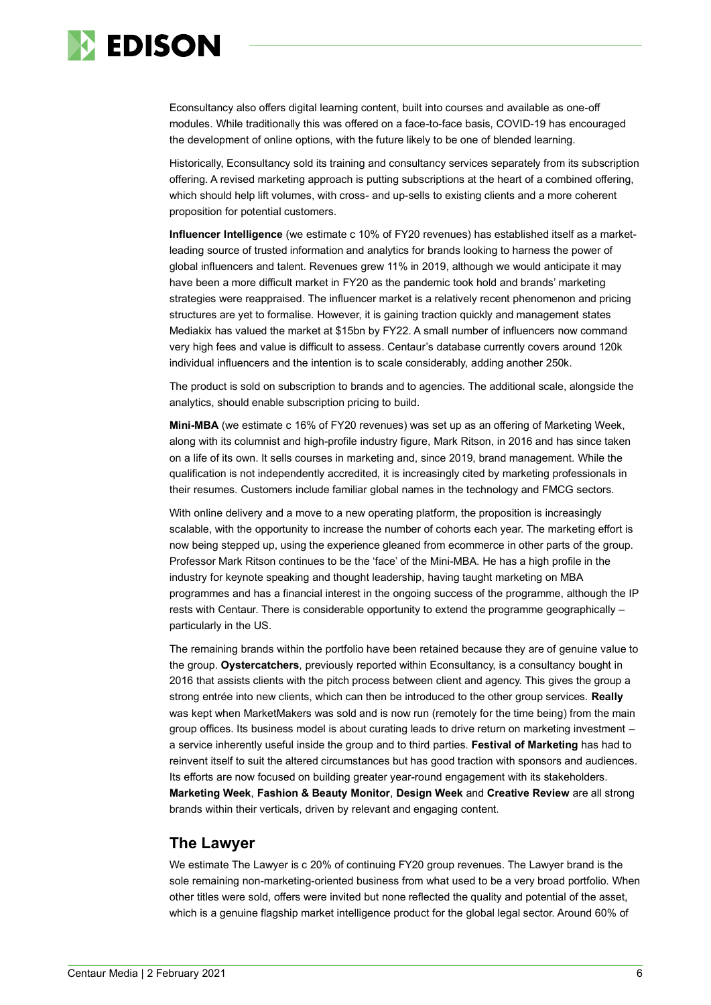

Econsultancy also offers digital learning content, built into courses and available as one-off modules. While traditionally this was offered on a face-to-face basis, COVID-19 has encouraged the development of online options, with the future likely to be one of blended learning.

Historically, Econsultancy sold its training and consultancy services separately from its subscription offering. A revised marketing approach is putting subscriptions at the heart of a combined offering, which should help lift volumes, with cross- and up-sells to existing clients and a more coherent proposition for potential customers.

**Influencer Intelligence** (we estimate c 10% of FY20 revenues) has established itself as a marketleading source of trusted information and analytics for brands looking to harness the power of global influencers and talent. Revenues grew 11% in 2019, although we would anticipate it may have been a more difficult market in FY20 as the pandemic took hold and brands' marketing strategies were reappraised. The influencer market is a relatively recent phenomenon and pricing structures are yet to formalise. However, it is gaining traction quickly and management states Mediakix has valued the market at \$15bn by FY22. A small number of influencers now command very high fees and value is difficult to assess. Centaur's database currently covers around 120k individual influencers and the intention is to scale considerably, adding another 250k.

The product is sold on subscription to brands and to agencies. The additional scale, alongside the analytics, should enable subscription pricing to build.

**Mini-MBA** (we estimate c 16% of FY20 revenues) was set up as an offering of Marketing Week, along with its columnist and high-profile industry figure, Mark Ritson, in 2016 and has since taken on a life of its own. It sells courses in marketing and, since 2019, brand management. While the qualification is not independently accredited, it is increasingly cited by marketing professionals in their resumes. Customers include familiar global names in the technology and FMCG sectors.

With online delivery and a move to a new operating platform, the proposition is increasingly scalable, with the opportunity to increase the number of cohorts each year. The marketing effort is now being stepped up, using the experience gleaned from ecommerce in other parts of the group. Professor Mark Ritson continues to be the 'face' of the Mini-MBA. He has a high profile in the industry for keynote speaking and thought leadership, having taught marketing on MBA programmes and has a financial interest in the ongoing success of the programme, although the IP rests with Centaur. There is considerable opportunity to extend the programme geographically – particularly in the US.

The remaining brands within the portfolio have been retained because they are of genuine value to the group. **Oystercatchers**, previously reported within Econsultancy, is a consultancy bought in 2016 that assists clients with the pitch process between client and agency. This gives the group a strong entrée into new clients, which can then be introduced to the other group services. **Really** was kept when MarketMakers was sold and is now run (remotely for the time being) from the main group offices. Its business model is about curating leads to drive return on marketing investment – a service inherently useful inside the group and to third parties. **Festival of Marketing** has had to reinvent itself to suit the altered circumstances but has good traction with sponsors and audiences. Its efforts are now focused on building greater year-round engagement with its stakeholders. **Marketing Week**, **Fashion & Beauty Monitor**, **Design Week** and **Creative Review** are all strong brands within their verticals, driven by relevant and engaging content.

#### **The Lawyer**

We estimate The Lawyer is c 20% of continuing FY20 group revenues. The Lawyer brand is the sole remaining non-marketing-oriented business from what used to be a very broad portfolio. When other titles were sold, offers were invited but none reflected the quality and potential of the asset, which is a genuine flagship market intelligence product for the global legal sector. Around 60% of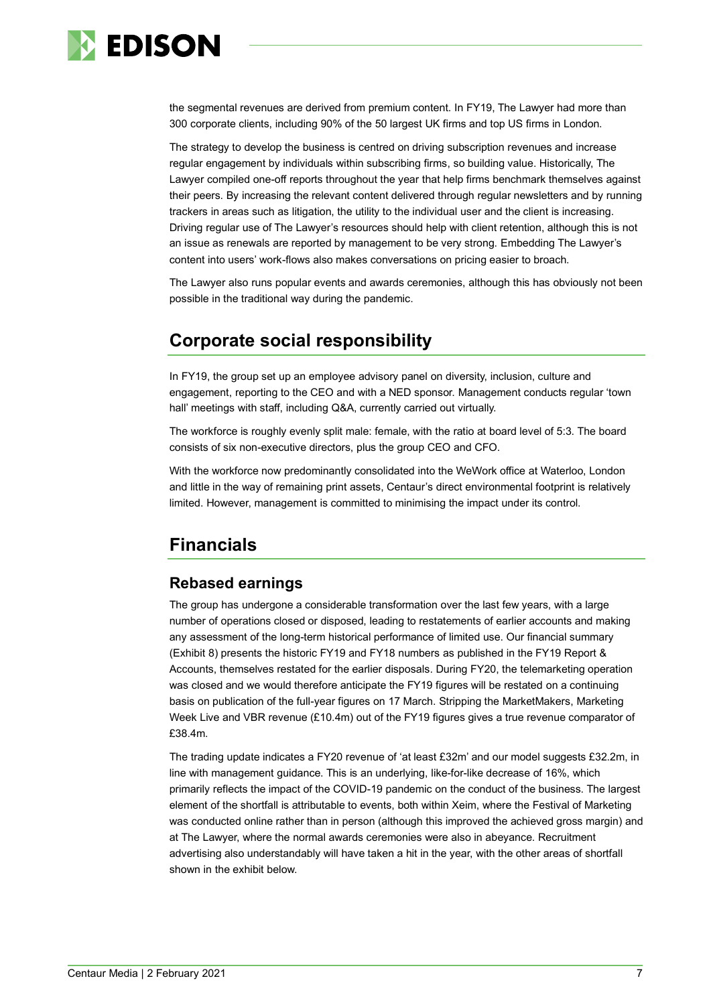

the segmental revenues are derived from premium content. In FY19, The Lawyer had more than 300 corporate clients, including 90% of the 50 largest UK firms and top US firms in London.

The strategy to develop the business is centred on driving subscription revenues and increase regular engagement by individuals within subscribing firms, so building value. Historically, The Lawyer compiled one-off reports throughout the year that help firms benchmark themselves against their peers. By increasing the relevant content delivered through regular newsletters and by running trackers in areas such as litigation, the utility to the individual user and the client is increasing. Driving regular use of The Lawyer's resources should help with client retention, although this is not an issue as renewals are reported by management to be very strong. Embedding The Lawyer's content into users' work-flows also makes conversations on pricing easier to broach.

The Lawyer also runs popular events and awards ceremonies, although this has obviously not been possible in the traditional way during the pandemic.

# **Corporate social responsibility**

In FY19, the group set up an employee advisory panel on diversity, inclusion, culture and engagement, reporting to the CEO and with a NED sponsor. Management conducts regular 'town hall' meetings with staff, including Q&A, currently carried out virtually.

The workforce is roughly evenly split male: female, with the ratio at board level of 5:3. The board consists of six non-executive directors, plus the group CEO and CFO.

With the workforce now predominantly consolidated into the WeWork office at Waterloo, London and little in the way of remaining print assets, Centaur's direct environmental footprint is relatively limited. However, management is committed to minimising the impact under its control.

# **Financials**

#### **Rebased earnings**

The group has undergone a considerable transformation over the last few years, with a large number of operations closed or disposed, leading to restatements of earlier accounts and making any assessment of the long-term historical performance of limited use. Our financial summary (Exhibit 8) presents the historic FY19 and FY18 numbers as published in the FY19 Report & Accounts, themselves restated for the earlier disposals. During FY20, the telemarketing operation was closed and we would therefore anticipate the FY19 figures will be restated on a continuing basis on publication of the full-year figures on 17 March. Stripping the MarketMakers, Marketing Week Live and VBR revenue (£10.4m) out of the FY19 figures gives a true revenue comparator of £38.4m.

The trading update indicates a FY20 revenue of 'at least £32m' and our model suggests £32.2m, in line with management guidance. This is an underlying, like-for-like decrease of 16%, which primarily reflects the impact of the COVID-19 pandemic on the conduct of the business. The largest element of the shortfall is attributable to events, both within Xeim, where the Festival of Marketing was conducted online rather than in person (although this improved the achieved gross margin) and at The Lawyer, where the normal awards ceremonies were also in abeyance. Recruitment advertising also understandably will have taken a hit in the year, with the other areas of shortfall shown in the exhibit below.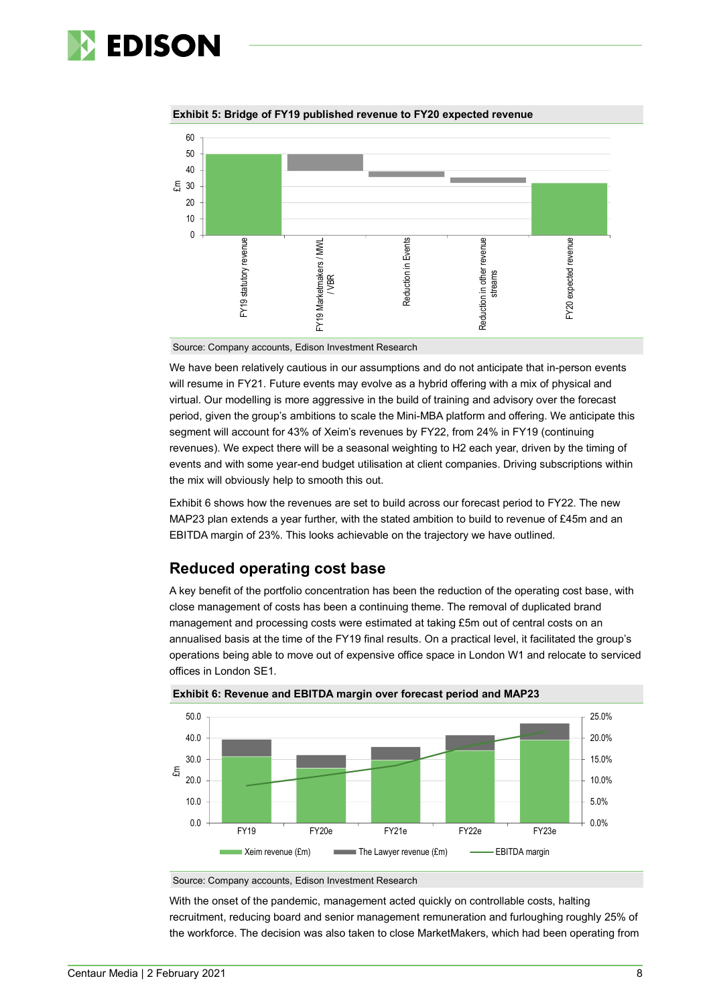



**Exhibit 5: Bridge of FY19 published revenue to FY20 expected revenue**

Source: Company accounts, Edison Investment Research

We have been relatively cautious in our assumptions and do not anticipate that in-person events will resume in FY21. Future events may evolve as a hybrid offering with a mix of physical and virtual. Our modelling is more aggressive in the build of training and advisory over the forecast period, given the group's ambitions to scale the Mini-MBA platform and offering. We anticipate this segment will account for 43% of Xeim's revenues by FY22, from 24% in FY19 (continuing revenues). We expect there will be a seasonal weighting to H2 each year, driven by the timing of events and with some year-end budget utilisation at client companies. Driving subscriptions within the mix will obviously help to smooth this out.

Exhibit 6 shows how the revenues are set to build across our forecast period to FY22. The new MAP23 plan extends a year further, with the stated ambition to build to revenue of £45m and an EBITDA margin of 23%. This looks achievable on the trajectory we have outlined.

#### **Reduced operating cost base**

A key benefit of the portfolio concentration has been the reduction of the operating cost base, with close management of costs has been a continuing theme. The removal of duplicated brand management and processing costs were estimated at taking £5m out of central costs on an annualised basis at the time of the FY19 final results. On a practical level, it facilitated the group's operations being able to move out of expensive office space in London W1 and relocate to serviced offices in London SE1.





With the onset of the pandemic, management acted quickly on controllable costs, halting recruitment, reducing board and senior management remuneration and furloughing roughly 25% of the workforce. The decision was also taken to close MarketMakers, which had been operating from

Source: Company accounts, Edison Investment Research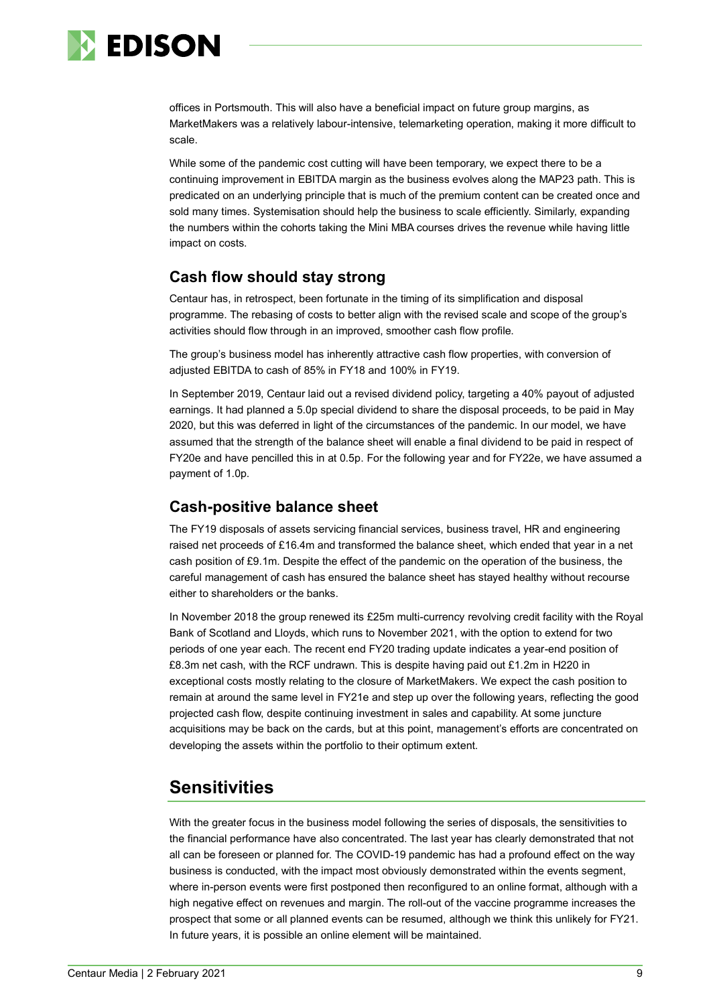

offices in Portsmouth. This will also have a beneficial impact on future group margins, as MarketMakers was a relatively labour-intensive, telemarketing operation, making it more difficult to scale.

While some of the pandemic cost cutting will have been temporary, we expect there to be a continuing improvement in EBITDA margin as the business evolves along the MAP23 path. This is predicated on an underlying principle that is much of the premium content can be created once and sold many times. Systemisation should help the business to scale efficiently. Similarly, expanding the numbers within the cohorts taking the Mini MBA courses drives the revenue while having little impact on costs.

#### **Cash flow should stay strong**

Centaur has, in retrospect, been fortunate in the timing of its simplification and disposal programme. The rebasing of costs to better align with the revised scale and scope of the group's activities should flow through in an improved, smoother cash flow profile.

The group's business model has inherently attractive cash flow properties, with conversion of adjusted EBITDA to cash of 85% in FY18 and 100% in FY19.

In September 2019, Centaur laid out a revised dividend policy, targeting a 40% payout of adjusted earnings. It had planned a 5.0p special dividend to share the disposal proceeds, to be paid in May 2020, but this was deferred in light of the circumstances of the pandemic. In our model, we have assumed that the strength of the balance sheet will enable a final dividend to be paid in respect of FY20e and have pencilled this in at 0.5p. For the following year and for FY22e, we have assumed a payment of 1.0p.

# **Cash-positive balance sheet**

The FY19 disposals of assets servicing financial services, business travel, HR and engineering raised net proceeds of £16.4m and transformed the balance sheet, which ended that year in a net cash position of £9.1m. Despite the effect of the pandemic on the operation of the business, the careful management of cash has ensured the balance sheet has stayed healthy without recourse either to shareholders or the banks.

In November 2018 the group renewed its £25m multi-currency revolving credit facility with the Royal Bank of Scotland and Lloyds, which runs to November 2021, with the option to extend for two periods of one year each. The recent end FY20 trading update indicates a year-end position of £8.3m net cash, with the RCF undrawn. This is despite having paid out £1.2m in H220 in exceptional costs mostly relating to the closure of MarketMakers. We expect the cash position to remain at around the same level in FY21e and step up over the following years, reflecting the good projected cash flow, despite continuing investment in sales and capability. At some juncture acquisitions may be back on the cards, but at this point, management's efforts are concentrated on developing the assets within the portfolio to their optimum extent.

# **Sensitivities**

With the greater focus in the business model following the series of disposals, the sensitivities to the financial performance have also concentrated. The last year has clearly demonstrated that not all can be foreseen or planned for. The COVID-19 pandemic has had a profound effect on the way business is conducted, with the impact most obviously demonstrated within the events segment, where in-person events were first postponed then reconfigured to an online format, although with a high negative effect on revenues and margin. The roll-out of the vaccine programme increases the prospect that some or all planned events can be resumed, although we think this unlikely for FY21. In future years, it is possible an online element will be maintained.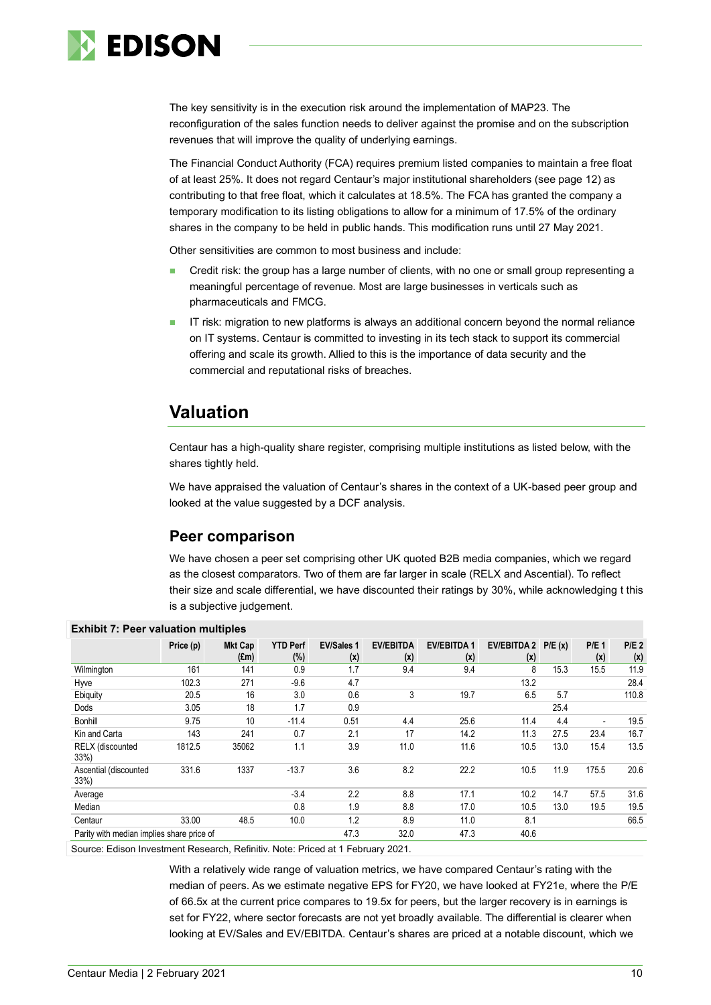

The key sensitivity is in the execution risk around the implementation of MAP23. The reconfiguration of the sales function needs to deliver against the promise and on the subscription revenues that will improve the quality of underlying earnings.

The Financial Conduct Authority (FCA) requires premium listed companies to maintain a free float of at least 25%. It does not regard Centaur's major institutional shareholders (see page 12) as contributing to that free float, which it calculates at 18.5%. The FCA has granted the company a temporary modification to its listing obligations to allow for a minimum of 17.5% of the ordinary shares in the company to be held in public hands. This modification runs until 27 May 2021.

Other sensitivities are common to most business and include:

- Credit risk: the group has a large number of clients, with no one or small group representing a meaningful percentage of revenue. Most are large businesses in verticals such as pharmaceuticals and FMCG.
- IT risk: migration to new platforms is always an additional concern beyond the normal reliance on IT systems. Centaur is committed to investing in its tech stack to support its commercial offering and scale its growth. Allied to this is the importance of data security and the commercial and reputational risks of breaches.

# **Valuation**

Centaur has a high-quality share register, comprising multiple institutions as listed below, with the shares tightly held.

We have appraised the valuation of Centaur's shares in the context of a UK-based peer group and looked at the value suggested by a DCF analysis.

#### **Peer comparison**

We have chosen a peer set comprising other UK quoted B2B media companies, which we regard as the closest comparators. Two of them are far larger in scale (RELX and Ascential). To reflect their size and scale differential, we have discounted their ratings by 30%, while acknowledging t this is a subjective judgement.

| $\sum$                                    |           |                                 |                           |                          |                         |                          |                           |        |                |                         |
|-------------------------------------------|-----------|---------------------------------|---------------------------|--------------------------|-------------------------|--------------------------|---------------------------|--------|----------------|-------------------------|
|                                           | Price (p) | <b>Mkt Cap</b><br>$(\text{Em})$ | <b>YTD Perf</b><br>$(\%)$ | <b>EV/Sales 1</b><br>(x) | <b>EV/EBITDA</b><br>(x) | <b>EV/EBITDA1</b><br>(x) | <b>EV/EBITDA 2</b><br>(x) | P/E(x) | $P/E_1$<br>(x) | P/E <sub>2</sub><br>(x) |
| Wilmington                                | 161       | 141                             | 0.9                       | 1.7                      | 9.4                     | 9.4                      | 8                         | 15.3   | 15.5           | 11.9                    |
| Hyve                                      | 102.3     | 271                             | $-9.6$                    | 4.7                      |                         |                          | 13.2                      |        |                | 28.4                    |
| Ebiquity                                  | 20.5      | 16                              | 3.0                       | 0.6                      | 3                       | 19.7                     | 6.5                       | 5.7    |                | 110.8                   |
| Dods                                      | 3.05      | 18                              | 1.7                       | 0.9                      |                         |                          |                           | 25.4   |                |                         |
| Bonhill                                   | 9.75      | 10                              | $-11.4$                   | 0.51                     | 4.4                     | 25.6                     | 11.4                      | 4.4    | ٠              | 19.5                    |
| Kin and Carta                             | 143       | 241                             | 0.7                       | 2.1                      | 17                      | 14.2                     | 11.3                      | 27.5   | 23.4           | 16.7                    |
| <b>RELX</b> (discounted<br>$33\%)$        | 1812.5    | 35062                           | 1.1                       | 3.9                      | 11.0                    | 11.6                     | 10.5                      | 13.0   | 15.4           | 13.5                    |
| Ascential (discounted<br>33%              | 331.6     | 1337                            | $-13.7$                   | 3.6                      | 8.2                     | 22.2                     | 10.5                      | 11.9   | 175.5          | 20.6                    |
| Average                                   |           |                                 | $-3.4$                    | 2.2                      | 8.8                     | 17.1                     | 10.2                      | 14.7   | 57.5           | 31.6                    |
| Median                                    |           |                                 | 0.8                       | 1.9                      | 8.8                     | 17.0                     | 10.5                      | 13.0   | 19.5           | 19.5                    |
| Centaur                                   | 33.00     | 48.5                            | 10.0                      | 1.2                      | 8.9                     | 11.0                     | 8.1                       |        |                | 66.5                    |
| Parity with median implies share price of |           |                                 |                           | 47.3                     | 32.0                    | 47.3                     | 40.6                      |        |                |                         |

#### **Exhibit 7: Peer valuation multiples**

Source: Edison Investment Research, Refinitiv. Note: Priced at 1 February 2021.

With a relatively wide range of valuation metrics, we have compared Centaur's rating with the median of peers. As we estimate negative EPS for FY20, we have looked at FY21e, where the P/E of 66.5x at the current price compares to 19.5x for peers, but the larger recovery is in earnings is set for FY22, where sector forecasts are not yet broadly available. The differential is clearer when looking at EV/Sales and EV/EBITDA. Centaur's shares are priced at a notable discount, which we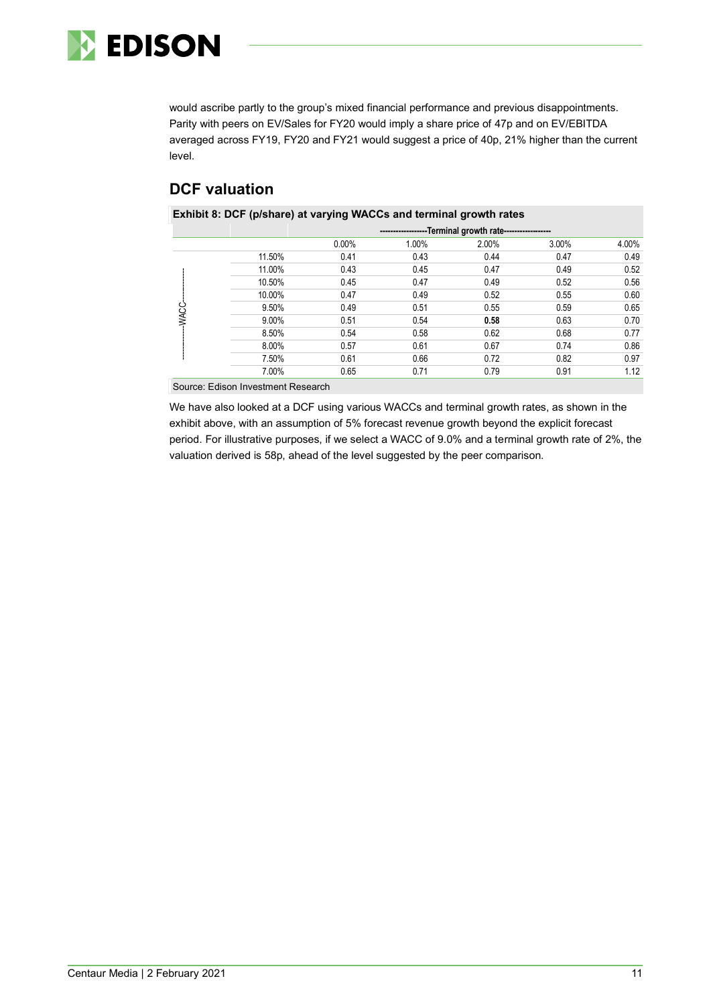

would ascribe partly to the group's mixed financial performance and previous disappointments. Parity with peers on EV/Sales for FY20 would imply a share price of 47p and on EV/EBITDA averaged across FY19, FY20 and FY21 would suggest a price of 40p, 21% higher than the current level.

# **DCF valuation**

**Exhibit 8: DCF (p/share) at varying WACCs and terminal growth rates**

|             |          | --Terminal growth rate------------------<br>--------------- |       |       |       |       |  |  |
|-------------|----------|-------------------------------------------------------------|-------|-------|-------|-------|--|--|
|             |          | 0.00%                                                       | 1.00% | 2.00% | 3.00% | 4.00% |  |  |
|             | 11.50%   | 0.41                                                        | 0.43  | 0.44  | 0.47  | 0.49  |  |  |
|             | 11.00%   | 0.43                                                        | 0.45  | 0.47  | 0.49  | 0.52  |  |  |
|             | 10.50%   | 0.45                                                        | 0.47  | 0.49  | 0.52  | 0.56  |  |  |
| <b>WACC</b> | 10.00%   | 0.47                                                        | 0.49  | 0.52  | 0.55  | 0.60  |  |  |
|             | 9.50%    | 0.49                                                        | 0.51  | 0.55  | 0.59  | 0.65  |  |  |
|             | $9.00\%$ | 0.51                                                        | 0.54  | 0.58  | 0.63  | 0.70  |  |  |
|             | 8.50%    | 0.54                                                        | 0.58  | 0.62  | 0.68  | 0.77  |  |  |
|             | 8.00%    | 0.57                                                        | 0.61  | 0.67  | 0.74  | 0.86  |  |  |
|             | 7.50%    | 0.61                                                        | 0.66  | 0.72  | 0.82  | 0.97  |  |  |
|             | 7.00%    | 0.65                                                        | 0.71  | 0.79  | 0.91  | 1.12  |  |  |

Source: Edison Investment Research

We have also looked at a DCF using various WACCs and terminal growth rates, as shown in the exhibit above, with an assumption of 5% forecast revenue growth beyond the explicit forecast period. For illustrative purposes, if we select a WACC of 9.0% and a terminal growth rate of 2%, the valuation derived is 58p, ahead of the level suggested by the peer comparison.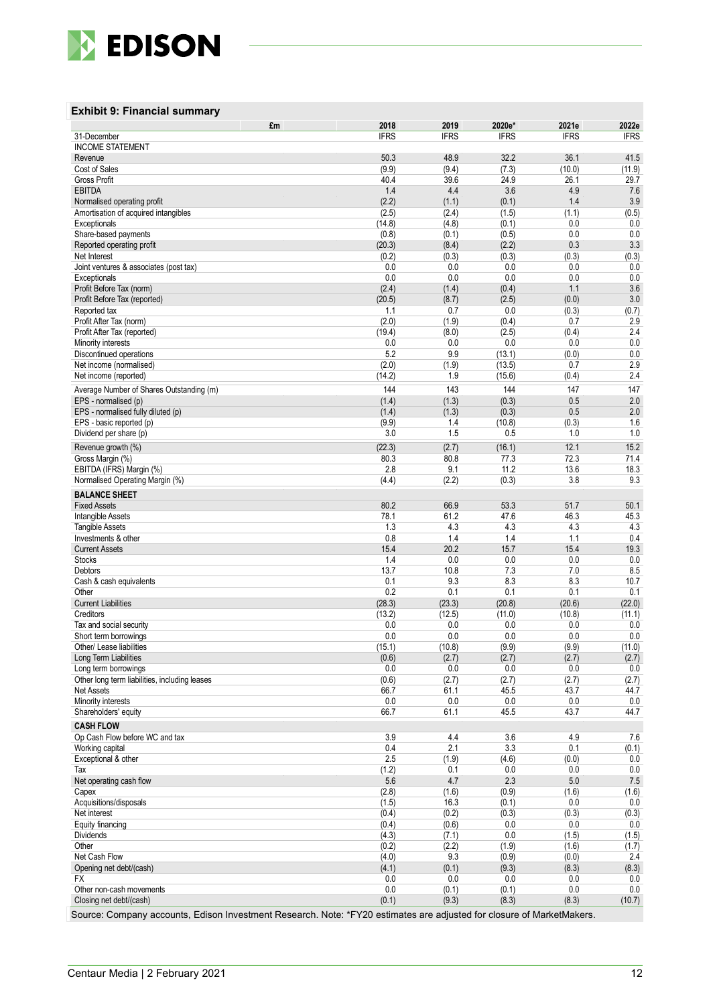

#### **Exhibit 9: Financial summary**

|                                                                     | £m | 2018           | 2019           | 2020e*         | 2021e        | 2022e        |
|---------------------------------------------------------------------|----|----------------|----------------|----------------|--------------|--------------|
| 31-December                                                         |    | <b>IFRS</b>    | <b>IFRS</b>    | <b>IFRS</b>    | <b>IFRS</b>  | <b>IFRS</b>  |
| <b>INCOME STATEMENT</b>                                             |    |                |                |                |              |              |
| Revenue                                                             |    | 50.3           | 48.9           | 32.2           | 36.1         | 41.5         |
| Cost of Sales                                                       |    | (9.9)          | (9.4)          | (7.3)          | (10.0)       | (11.9)       |
| <b>Gross Profit</b>                                                 |    | 40.4           | 39.6           | 24.9           | 26.1         | 29.7         |
| <b>EBITDA</b>                                                       |    | 1.4<br>(2.2)   | 4.4<br>(1.1)   | 3.6<br>(0.1)   | 4.9<br>1.4   | 7.6<br>3.9   |
| Normalised operating profit<br>Amortisation of acquired intangibles |    | (2.5)          | (2.4)          | (1.5)          | (1.1)        | (0.5)        |
| Exceptionals                                                        |    | (14.8)         | (4.8)          | (0.1)          | 0.0          | 0.0          |
| Share-based payments                                                |    | (0.8)          | (0.1)          | (0.5)          | 0.0          | 0.0          |
| Reported operating profit                                           |    | (20.3)         | (8.4)          | (2.2)          | 0.3          | 3.3          |
| Net Interest                                                        |    | (0.2)          | (0.3)          | (0.3)          | (0.3)        | (0.3)        |
| Joint ventures & associates (post tax)                              |    | 0.0            | 0.0            | 0.0            | 0.0          | 0.0          |
| Exceptionals                                                        |    | 0.0            | 0.0            | 0.0            | 0.0          | 0.0          |
| Profit Before Tax (norm)                                            |    | (2.4)          | (1.4)          | (0.4)          | 1.1          | 3.6          |
| Profit Before Tax (reported)                                        |    | (20.5)         | (8.7)          | (2.5)          | (0.0)        | 3.0          |
| Reported tax                                                        |    | 1.1            | 0.7            | 0.0            | (0.3)        | (0.7)        |
| Profit After Tax (norm)                                             |    | (2.0)          | (1.9)          | (0.4)          | 0.7          | 2.9          |
| Profit After Tax (reported)                                         |    | (19.4)         | (8.0)          | (2.5)          | (0.4)        | 2.4          |
| Minority interests                                                  |    | 0.0            | 0.0            | 0.0            | 0.0          | 0.0          |
| Discontinued operations                                             |    | 5.2            | 9.9            | (13.1)         | (0.0)        | 0.0          |
| Net income (normalised)                                             |    | (2.0)          | (1.9)          | (13.5)         | 0.7          | 2.9          |
| Net income (reported)                                               |    | (14.2)         | 1.9            | (15.6)         | (0.4)        | 2.4          |
| Average Number of Shares Outstanding (m)                            |    | 144            | 143            | 144            | 147          | 147          |
| EPS - normalised (p)                                                |    | (1.4)          | (1.3)          | (0.3)          | 0.5          | 2.0          |
| EPS - normalised fully diluted (p)                                  |    | (1.4)          | (1.3)          | (0.3)          | 0.5          | 2.0          |
| EPS - basic reported (p)                                            |    | (9.9)          | 1.4            | (10.8)         | (0.3)        | 1.6          |
| Dividend per share (p)                                              |    | 3.0            | 1.5            | 0.5            | 1.0          | 1.0          |
| Revenue growth (%)                                                  |    | (22.3)         | (2.7)          | (16.1)         | 12.1         | 15.2         |
| Gross Margin (%)                                                    |    | 80.3           | 80.8           | 77.3           | 72.3         | 71.4         |
| EBITDA (IFRS) Margin (%)                                            |    | 2.8            | 9.1            | 11.2           | 13.6         | 18.3         |
| Normalised Operating Margin (%)                                     |    | (4.4)          | (2.2)          | (0.3)          | 3.8          | 9.3          |
| <b>BALANCE SHEET</b>                                                |    |                |                |                |              |              |
| <b>Fixed Assets</b>                                                 |    | 80.2           | 66.9           | 53.3           | 51.7         | 50.1         |
| Intangible Assets                                                   |    | 78.1           | 61.2           | 47.6           | 46.3         | 45.3         |
| <b>Tangible Assets</b>                                              |    | 1.3            | 4.3            | 4.3            | 4.3          | 4.3          |
| Investments & other                                                 |    | 0.8            | 1.4            | 1.4            | 1.1          | 0.4          |
| <b>Current Assets</b>                                               |    | 15.4           | 20.2           | 15.7           | 15.4         | 19.3         |
| <b>Stocks</b><br>Debtors                                            |    | 1.4<br>13.7    | 0.0<br>10.8    | 0.0<br>7.3     | 0.0<br>7.0   | 0.0<br>8.5   |
|                                                                     |    | 0.1            | 9.3            | 8.3            | 8.3          | 10.7         |
| Cash & cash equivalents<br>Other                                    |    | 0.2            | 0.1            | 0.1            | 0.1          | 0.1          |
| <b>Current Liabilities</b>                                          |    | (28.3)         | (23.3)         | (20.8)         | (20.6)       | (22.0)       |
| Creditors                                                           |    | (13.2)         | (12.5)         | (11.0)         | (10.8)       | (11.1)       |
| Tax and social security                                             |    | 0.0            | 0.0            | 0.0            | 0.0          | 0.0          |
| Short term borrowings                                               |    | 0.0            | 0.0            | 0.0            | 0.0          | 0.0          |
| Other/ Lease liabilities                                            |    | (15.1)         | (10.8)         | (9.9)          | (9.9)        | (11.0)       |
| Long Term Liabilities                                               |    | (0.6)          | (2.7)          | (2.7)          | (2.7)        | (2.7)        |
| Long term borrowings                                                |    | 0.0            | 0.0            | 0.0            | 0.0          | 0.0          |
| Other long term liabilities, including leases                       |    | (0.6)          | (2.7)          | (2.7)          | (2.7)        | (2.7)        |
| Net Assets                                                          |    | 66.7           | 61.1           | 45.5           | 43.7         | 44.7         |
| Minority interests                                                  |    | $0.0\,$        | 0.0            | 0.0            | $0.0\,$      | $0.0\,$      |
| Shareholders' equity                                                |    | 66.7           | 61.1           | 45.5           | 43.7         | 44.7         |
| <b>CASH FLOW</b>                                                    |    |                |                |                |              |              |
| Op Cash Flow before WC and tax                                      |    | 3.9            | 4.4            | 3.6            | 4.9          | 7.6          |
| Working capital                                                     |    | 0.4            | 2.1            | 3.3            | 0.1          | (0.1)        |
| Exceptional & other                                                 |    | 2.5            | (1.9)          | (4.6)          | (0.0)        | 0.0          |
| Tax                                                                 |    | (1.2)          | 0.1            | 0.0            | 0.0          | 0.0          |
| Net operating cash flow                                             |    | 5.6            | 4.7            | 2.3            | 5.0          | 7.5          |
| Capex<br>Acquisitions/disposals                                     |    | (2.8)          | (1.6)          | (0.9)          | (1.6)        | (1.6)        |
| Net interest                                                        |    | (1.5)          | 16.3           | (0.1)<br>(0.3) | 0.0          | 0.0          |
| Equity financing                                                    |    | (0.4)<br>(0.4) | (0.2)<br>(0.6) | 0.0            | (0.3)<br>0.0 | (0.3)<br>0.0 |
| Dividends                                                           |    | (4.3)          | (7.1)          | 0.0            | (1.5)        | (1.5)        |
| Other                                                               |    | (0.2)          | (2.2)          | (1.9)          | (1.6)        | (1.7)        |
| Net Cash Flow                                                       |    | (4.0)          | 9.3            | (0.9)          | (0.0)        | 2.4          |
| Opening net debt/(cash)                                             |    | (4.1)          | (0.1)          | (9.3)          | (8.3)        | (8.3)        |
| FX                                                                  |    | 0.0            | 0.0            | 0.0            | 0.0          | 0.0          |
| Other non-cash movements                                            |    | 0.0            | (0.1)          | (0.1)          | 0.0          | 0.0          |
| Closing net debt/(cash)                                             |    | (0.1)          | (9.3)          | (8.3)          | (8.3)        | (10.7)       |

Source: Company accounts, Edison Investment Research. Note: \*FY20 estimates are adjusted for closure of MarketMakers.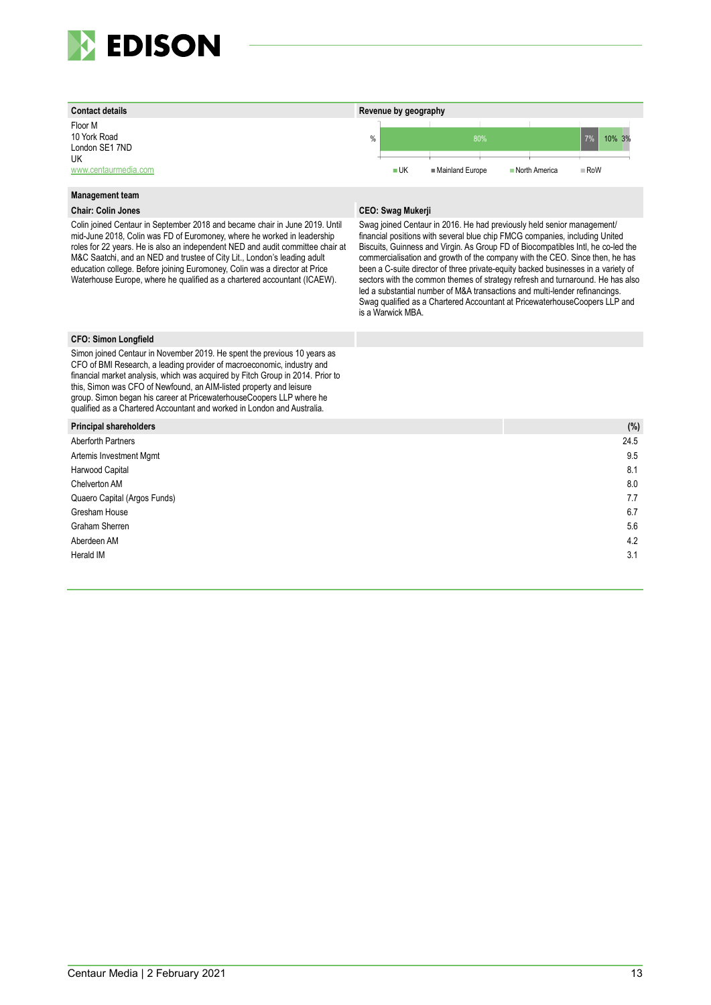

Floor M 10 York Road London SE1 7ND UK [www.centaurmedia.com](http://www.centaurmedia.com/)

#### **Management team**

Colin joined Centaur in September 2018 and became chair in June 2019. Until mid-June 2018, Colin was FD of Euromoney, where he worked in leadership roles for 22 years. He is also an independent NED and audit committee chair at M&C Saatchi, and an NED and trustee of City Lit., London's leading adult education college. Before joining Euromoney, Colin was a director at Price Waterhouse Europe, where he qualified as a chartered accountant (ICAEW).



#### **Chair: Colin Jones CEO: Swag Mukerji**

Swag joined Centaur in 2016. He had previously held senior management/ financial positions with several blue chip FMCG companies, including United Biscuits, Guinness and Virgin. As Group FD of Biocompatibles Intl, he co-led the commercialisation and growth of the company with the CEO. Since then, he has been a C-suite director of three private-equity backed businesses in a variety of sectors with the common themes of strategy refresh and turnaround. He has also led a substantial number of M&A transactions and multi-lender refinancings. Swag qualified as a Chartered Accountant at PricewaterhouseCoopers LLP and is a Warwick MBA.

#### **CFO: Simon Longfield**

Simon joined Centaur in November 2019. He spent the previous 10 years as CFO of BMI Research, a leading provider of macroeconomic, industry and financial market analysis, which was acquired by Fitch Group in 2014. Prior to this, Simon was CFO of Newfound, an AIM-listed property and leisure group. Simon began his career at PricewaterhouseCoopers LLP where he qualified as a Chartered Accountant and worked in London and Australia.

| <b>Principal shareholders</b> | $(%^{2})^{2}$ |
|-------------------------------|---------------|
| Aberforth Partners            | 24.5          |
| Artemis Investment Mgmt       | 9.5           |
| Harwood Capital               | 8.1           |
| Chelverton AM                 | 8.0           |
| Quaero Capital (Argos Funds)  | 7.7           |
| Gresham House                 | 6.7           |
| Graham Sherren                | 5.6           |
| Aberdeen AM                   | 4.2           |
| Herald IM                     | 3.1           |
|                               |               |